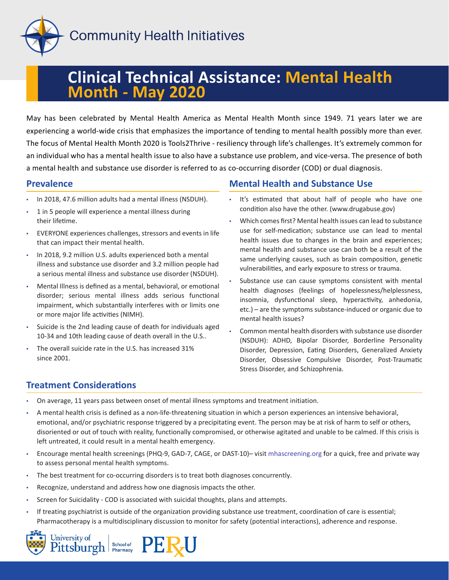

# **Clinical Technical Assistance: Mental Health Month - May 2020**

May has been celebrated by Mental Health America as Mental Health Month since 1949. 71 years later we are experiencing a world-wide crisis that emphasizes the importance of tending to mental health possibly more than ever. The focus of Mental Health Month 2020 is Tools2Thrive - resiliency through life's challenges. It's extremely common for an individual who has a mental health issue to also have a substance use problem, and vice-versa. The presence of both a mental health and substance use disorder is referred to as co-occurring disorder (COD) or dual diagnosis.

#### **Prevalence**

- In 2018, 47.6 million adults had a mental illness (NSDUH).
- 1 in 5 people will experience a mental illness during their lifetime.
- EVERYONE experiences challenges, stressors and events in life that can impact their mental health.
- In 2018, 9.2 million U.S. adults experienced both a mental illness and substance use disorder and 3.2 million people had a serious mental illness and substance use disorder (NSDUH).
- Mental Illness is defined as a mental, behavioral, or emotional disorder; serious mental illness adds serious functional impairment, which substantially interferes with or limits one or more major life activities (NIMH).
- Suicide is the 2nd leading cause of death for individuals aged 10-34 and 10th leading cause of death overall in the U.S..
- The overall suicide rate in the U.S. has increased 31% since 2001.

## **Mental Health and Substance Use**

- It's estimated that about half of people who have one condition also have the other. (www.drugabuse.gov)
- Which comes first? Mental health issues can lead to substance use for self-medication; substance use can lead to mental health issues due to changes in the brain and experiences; mental health and substance use can both be a result of the same underlying causes, such as brain composition, genetic vulnerabilities, and early exposure to stress or trauma.
- Substance use can cause symptoms consistent with mental health diagnoses (feelings of hopelessness/helplessness, insomnia, dysfunctional sleep, hyperactivity, anhedonia, etc.) – are the symptoms substance-induced or organic due to mental health issues?
- Common mental health disorders with substance use disorder (NSDUH): ADHD, Bipolar Disorder, Borderline Personality Disorder, Depression, Eating Disorders, Generalized Anxiety Disorder, Obsessive Compulsive Disorder, Post-Traumatic Stress Disorder, and Schizophrenia.

## **Treatment Considerations**

- On average, 11 years pass between onset of mental illness symptoms and treatment initiation.
- A mental health crisis is defined as a non-life-threatening situation in which a person experiences an intensive behavioral, emotional, and/or psychiatric response triggered by a precipitating event. The person may be at risk of harm to self or others, disoriented or out of touch with reality, functionally compromised, or otherwise agitated and unable to be calmed. If this crisis is left untreated, it could result in a mental health emergency.
- Encourage mental health screenings (PHQ-9, GAD-7, CAGE, or DAST-10)– visit <mhascreening.org>for a quick, free and private way to assess personal mental health symptoms.
- The best treatment for co-occurring disorders is to treat both diagnoses concurrently.
- Recognize, understand and address how one diagnosis impacts the other.
- Screen for Suicidality COD is associated with suicidal thoughts, plans and attempts.
- If treating psychiatrist is outside of the organization providing substance use treatment, coordination of care is essential; Pharmacotherapy is a multidisciplinary discussion to monitor for safety (potential interactions), adherence and response.